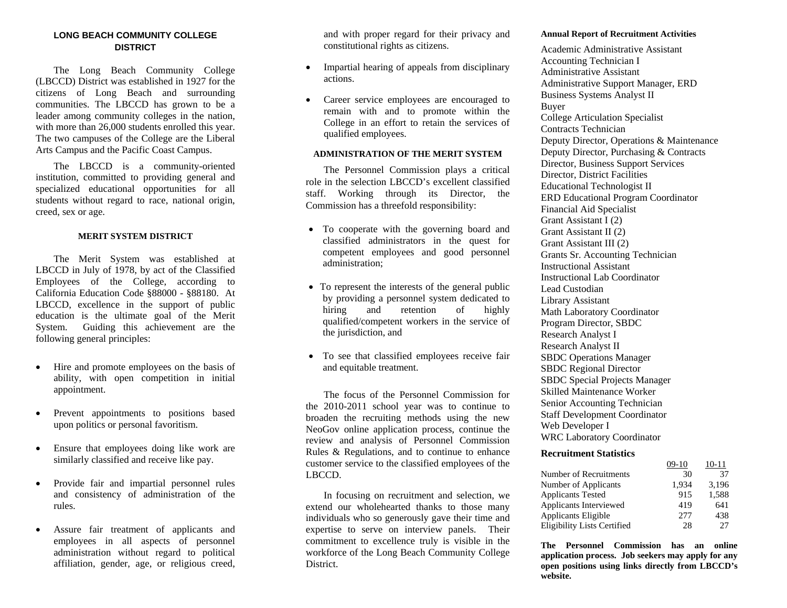## **LONG BEACH COMMUNITY COLLEGE DISTRICT**

 The Long Beach Community College (LBCCD) District was established in 1927 for the citizens of Long Beach and surrounding communities. The LBCCD has grown to be a leader among community colleges in the nation, with more than 26,000 students enrolled this year. The two campuses of the College are the Liberal Arts Campus and the Pacific Coast Campus.

 The LBCCD is a community-oriented institution, committed to providing general and specialized educational opportunities for all students without regard to race, national origin, creed, sex or age.

#### **MERIT SYSTEM DISTRICT**

 The Merit System was established at LBCCD in July of 1978, by act of the Classified Employees of the College, according to California Education Code §88000 - §88180. At LBCCD, excellence in the support of public education is the ultimate goal of the Merit System. Guiding this achievement are the following general principles:

- $\bullet$  Hire and promote employees on the basis of ability, with open competition in initial appointment.
- • Prevent appointments to positions based upon politics or personal favoritism.
- • Ensure that employees doing like work are similarly classified and receive like pay.
- • Provide fair and impartial personnel rules and consistency of administration of the rules.
- $\bullet$  Assure fair treatment of applicants and employees in all aspects of personnel administration without regard to political affiliation, gender, age, or religious creed,

and with proper regard for their privacy and constitutional rights as citizens.

- • Impartial hearing of appeals from disciplinary actions.
- • Career service employees are encouraged to remain with and to promote within the College in an effort to retain the services of qualified employees.

### **ADMINISTRATION OF THE MERIT SYSTEM**

 The Personnel Commission plays a critical role in the selection LBCCD's excellent classified staff. Working through its Director, the Commission has a threefold responsibility:

- To cooperate with the governing board and classified administrators in the quest for competent employees and good personnel administration;
- To represent the interests of the general public by providing a personnel system dedicated to hiring and retention of highly qualified/competent workers in the service of the jurisdiction, and
- To see that classified employees receive fair and equitable treatment.

 The focus of the Personnel Commission for the 2010-2011 school year was to continue to broaden the recruiting methods using the new NeoGov online application process, continue the review and analysis of Personnel Commission Rules & Regulations, and to continue to enhance customer service to the classified employees of the LBCCD.

 In focusing on recruitment and selection, we extend our wholehearted thanks to those many individuals who so generously gave their time and expertise to serve on interview panels. Their commitment to excellence truly is visible in the workforce of the Long Beach Community College District.

#### **Annual Report of Recruitment Activities**

Academic Administrative Assistant Accounting Technician I Administrative Assistant Administrative Support Manager, ERD Business Systems Analyst II Buyer College Articulation Specialist Contracts Technician Deputy Director, Operations & Maintenance Deputy Director, Purchasing & Contracts Director, Business Support Services Director, District Facilities Educational Technologist II ERD Educational Program Coordinator Financial Aid Specialist Grant Assistant I (2) Grant Assistant II (2) Grant Assistant III (2) Grants Sr. Accounting Technician Instructional Assistant Instructional Lab Coordinator Lead Custodian Library Assistant Math Laboratory Coordinator Program Director, SBDC Research Analyst I Research Analyst II SBDC Operations Manager SBDC Regional Director SBDC Special Projects Manager Skilled Maintenance Worker Senior Accounting Technician Staff Development Coordinator Web Developer I WRC Laboratory Coordinator

#### **Recruitment Statistics**

|                                    | $09-10$ | 10-11 |
|------------------------------------|---------|-------|
| Number of Recruitments             | 30      | 37    |
| Number of Applicants               | 1.934   | 3,196 |
| <b>Applicants Tested</b>           | 915     | 1,588 |
| Applicants Interviewed             | 419     | 641   |
| Applicants Eligible                | 277     | 438   |
| <b>Eligibility Lists Certified</b> | 28      | 27    |

**The Personnel Commission has an online application process. Job seekers may apply for any open positions using links directly from LBCCD's website.**